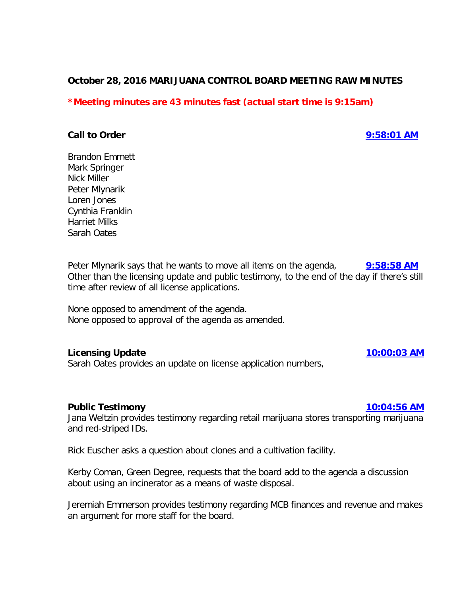### **October 28, 2016 MARIJUANA CONTROL BOARD MEETING RAW MINUTES**

# **\*Meeting minutes are 43 minutes fast (actual start time is 9:15am)**

#### **Call to Order [9:58:01 AM](ftr://?location="ABC Board"?date="28-Oct-2016"?position="09:58:01"?Data="86b3073f")**

Brandon Emmett Mark Springer Nick Miller Peter Mlynarik Loren Jones Cynthia Franklin Harriet Milks Sarah Oates

Peter Mlynarik says that he wants to move all items on the agenda, **[9:58:58 AM](ftr://?location="ABC Board"?date="28-Oct-2016"?position="09:58:58"?Data="ab76d906")** Other than the licensing update and public testimony, to the end of the day if there's still time after review of all license applications.

None opposed to amendment of the agenda. None opposed to approval of the agenda as amended.

### **Licensing Update [10:00:03 AM](ftr://?location="ABC Board"?date="28-Oct-2016"?position="10:00:03"?Data="95e7406f")**

Sarah Oates provides an update on license application numbers,

#### **Public Testimony [10:04:56 AM](ftr://?location="ABC Board"?date="28-Oct-2016"?position="10:04:56"?Data="fb1f8194")**

Jana Weltzin provides testimony regarding retail marijuana stores transporting marijuana and red-striped IDs.

Rick Euscher asks a question about clones and a cultivation facility.

Kerby Coman, Green Degree, requests that the board add to the agenda a discussion about using an incinerator as a means of waste disposal.

Jeremiah Emmerson provides testimony regarding MCB finances and revenue and makes an argument for more staff for the board.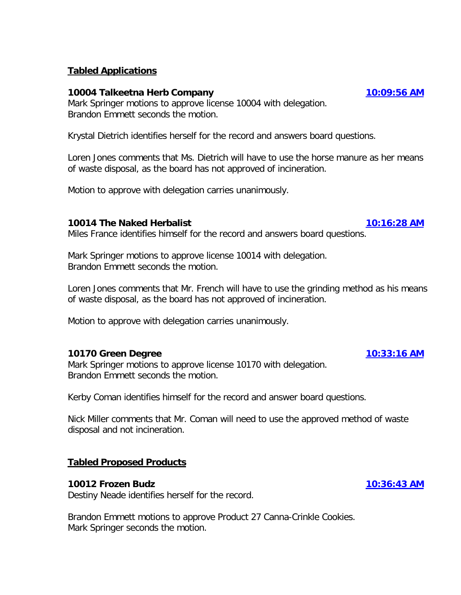# **Tabled Applications**

### **10004 Talkeetna Herb Company [10:09:56 AM](ftr://?location="ABC Board"?date="28-Oct-2016"?position="10:09:56"?Data="0ee10a24")**

Mark Springer motions to approve license 10004 with delegation. Brandon Emmett seconds the motion.

Krystal Dietrich identifies herself for the record and answers board questions.

Loren Jones comments that Ms. Dietrich will have to use the horse manure as her means of waste disposal, as the board has not approved of incineration.

Motion to approve with delegation carries unanimously.

#### **10014 The Naked Herbalist [10:16:28 AM](ftr://?location="ABC Board"?date="28-Oct-2016"?position="10:16:28"?Data="99955a4d")**

Miles France identifies himself for the record and answers board questions.

Mark Springer motions to approve license 10014 with delegation. Brandon Emmett seconds the motion.

Loren Jones comments that Mr. French will have to use the grinding method as his means of waste disposal, as the board has not approved of incineration.

Motion to approve with delegation carries unanimously.

### **10170 Green Degree [10:33:16 AM](ftr://?location="ABC Board"?date="28-Oct-2016"?position="10:33:16"?Data="f5cc0a0b")**

Mark Springer motions to approve license 10170 with delegation. Brandon Emmett seconds the motion.

Kerby Coman identifies himself for the record and answer board questions.

Nick Miller comments that Mr. Coman will need to use the approved method of waste disposal and not incineration.

### **Tabled Proposed Products**

#### **10012 Frozen Budz [10:36:43 AM](ftr://?location="ABC Board"?date="28-Oct-2016"?position="10:36:43"?Data="74f6a0ce")**

Destiny Neade identifies herself for the record.

Brandon Emmett motions to approve Product 27 Canna-Crinkle Cookies. Mark Springer seconds the motion.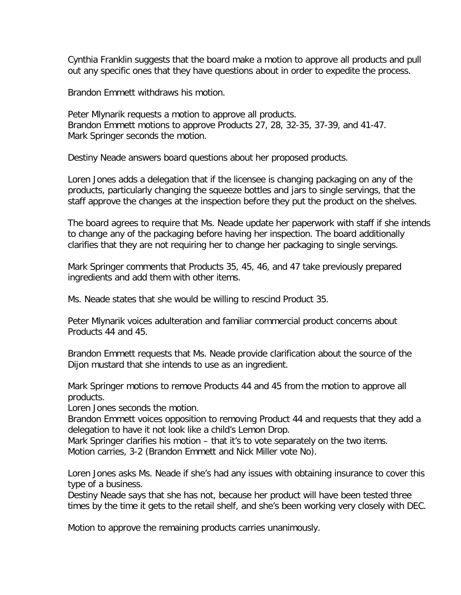Cynthia Franklin suggests that the board make a motion to approve all products and pull out any specific ones that they have questions about in order to expedite the process.

Brandon Emmett withdraws his motion.

Peter Mlynarik requests a motion to approve all products. Brandon Emmett motions to approve Products 27, 28, 32-35, 37-39, and 41-47. Mark Springer seconds the motion.

Destiny Neade answers board questions about her proposed products.

Loren Jones adds a delegation that if the licensee is changing packaging on any of the products, particularly changing the squeeze bottles and jars to single servings, that the staff approve the changes at the inspection before they put the product on the shelves.

The board agrees to require that Ms. Neade update her paperwork with staff if she intends to change any of the packaging before having her inspection. The board additionally clarifies that they are not requiring her to change her packaging to single servings.

Mark Springer comments that Products 35, 45, 46, and 47 take previously prepared ingredients and add them with other items.

Ms. Neade states that she would be willing to rescind Product 35.

Peter Mlynarik voices adulteration and familiar commercial product concerns about Products 44 and 45.

Brandon Emmett requests that Ms. Neade provide clarification about the source of the Dijon mustard that she intends to use as an ingredient.

Mark Springer motions to remove Products 44 and 45 from the motion to approve all products.

Loren Jones seconds the motion.

Brandon Emmett voices opposition to removing Product 44 and requests that they add a delegation to have it not look like a child's Lemon Drop.

Mark Springer clarifies his motion – that it's to vote separately on the two items. Motion carries, 3-2 (Brandon Emmett and Nick Miller vote No).

Loren Jones asks Ms. Neade if she's had any issues with obtaining insurance to cover this type of a business.

Destiny Neade says that she has not, because her product will have been tested three times by the time it gets to the retail shelf, and she's been working very closely with DEC.

Motion to approve the remaining products carries unanimously.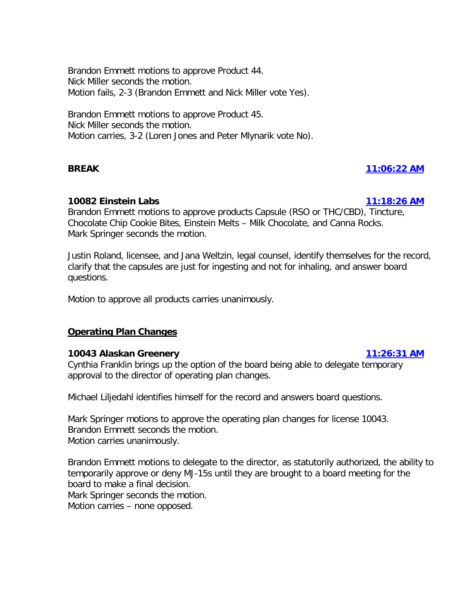Brandon Emmett motions to approve Product 44. Nick Miller seconds the motion. Motion fails, 2-3 (Brandon Emmett and Nick Miller vote Yes).

Brandon Emmett motions to approve Product 45. Nick Miller seconds the motion. Motion carries, 3-2 (Loren Jones and Peter Mlynarik vote No).

# **BREAK [11:06:22 AM](ftr://?location="ABC Board"?date="28-Oct-2016"?position="11:06:22"?Data="c3e567d7")**

# **10082 Einstein Labs [11:18:26 AM](ftr://?location="ABC Board"?date="28-Oct-2016"?position="11:18:26"?Data="c9eb8c5c")**

Brandon Emmett motions to approve products Capsule (RSO or THC/CBD), Tincture, Chocolate Chip Cookie Bites, Einstein Melts – Milk Chocolate, and Canna Rocks. Mark Springer seconds the motion.

Justin Roland, licensee, and Jana Weltzin, legal counsel, identify themselves for the record, clarify that the capsules are just for ingesting and not for inhaling, and answer board questions.

Motion to approve all products carries unanimously.

# **Operating Plan Changes**

### **10043 Alaskan Greenery [11:26:31 AM](ftr://?location="ABC Board"?date="28-Oct-2016"?position="11:26:31"?Data="f6378503")**

Cynthia Franklin brings up the option of the board being able to delegate temporary approval to the director of operating plan changes.

Michael Liljedahl identifies himself for the record and answers board questions.

Mark Springer motions to approve the operating plan changes for license 10043. Brandon Emmett seconds the motion. Motion carries unanimously.

Brandon Emmett motions to delegate to the director, as statutorily authorized, the ability to temporarily approve or deny MJ-15s until they are brought to a board meeting for the board to make a final decision.

Mark Springer seconds the motion.

Motion carries – none opposed.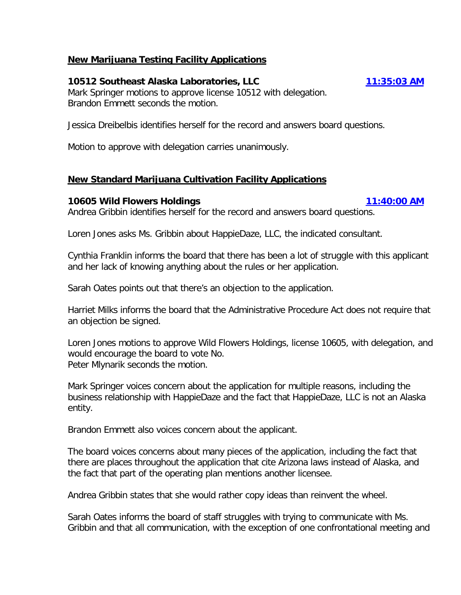# **New Marijuana Testing Facility Applications**

# **10512 Southeast Alaska Laboratories, LLC [11:35:03 AM](ftr://?location="ABC Board"?date="28-Oct-2016"?position="11:35:03"?Data="aa38c84a")**

Mark Springer motions to approve license 10512 with delegation. Brandon Emmett seconds the motion.

Jessica Dreibelbis identifies herself for the record and answers board questions.

Motion to approve with delegation carries unanimously.

# **New Standard Marijuana Cultivation Facility Applications**

### **10605 Wild Flowers Holdings [11:40:00 AM](ftr://?location="ABC Board"?date="28-Oct-2016"?position="11:40:00"?Data="2a3c456f")**

Andrea Gribbin identifies herself for the record and answers board questions.

Loren Jones asks Ms. Gribbin about HappieDaze, LLC, the indicated consultant.

Cynthia Franklin informs the board that there has been a lot of struggle with this applicant and her lack of knowing anything about the rules or her application.

Sarah Oates points out that there's an objection to the application.

Harriet Milks informs the board that the Administrative Procedure Act does not require that an objection be signed.

Loren Jones motions to approve Wild Flowers Holdings, license 10605, with delegation, and would encourage the board to vote No. Peter Mlynarik seconds the motion.

Mark Springer voices concern about the application for multiple reasons, including the business relationship with HappieDaze and the fact that HappieDaze, LLC is not an Alaska entity.

Brandon Emmett also voices concern about the applicant.

The board voices concerns about many pieces of the application, including the fact that there are places throughout the application that cite Arizona laws instead of Alaska, and the fact that part of the operating plan mentions another licensee.

Andrea Gribbin states that she would rather copy ideas than reinvent the wheel.

Sarah Oates informs the board of staff struggles with trying to communicate with Ms. Gribbin and that all communication, with the exception of one confrontational meeting and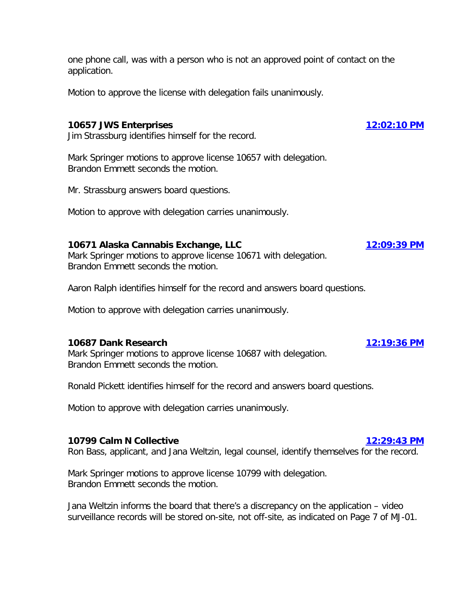one phone call, was with a person who is not an approved point of contact on the application.

Motion to approve the license with delegation fails unanimously.

### **10657 JWS Enterprises [12:02:10 PM](ftr://?location="ABC Board"?date="28-Oct-2016"?position="12:02:10"?Data="cf5bc97a")**

Jim Strassburg identifies himself for the record.

Mark Springer motions to approve license 10657 with delegation. Brandon Emmett seconds the motion.

Mr. Strassburg answers board questions.

Motion to approve with delegation carries unanimously.

# **10671 Alaska Cannabis Exchange, LLC [12:09:39 PM](ftr://?location="ABC Board"?date="28-Oct-2016"?position="12:09:39"?Data="077bdc0c")**

Mark Springer motions to approve license 10671 with delegation. Brandon Emmett seconds the motion.

Aaron Ralph identifies himself for the record and answers board questions.

Motion to approve with delegation carries unanimously.

# **10687 Dank Research [12:19:36 PM](ftr://?location="ABC Board"?date="28-Oct-2016"?position="12:19:36"?Data="c4bd8035")**

Mark Springer motions to approve license 10687 with delegation. Brandon Emmett seconds the motion.

Ronald Pickett identifies himself for the record and answers board questions.

Motion to approve with delegation carries unanimously.

### **10799 Calm N Collective [12:29:43 PM](ftr://?location="ABC Board"?date="28-Oct-2016"?position="12:29:43"?Data="99f8924f")**

Ron Bass, applicant, and Jana Weltzin, legal counsel, identify themselves for the record.

Mark Springer motions to approve license 10799 with delegation. Brandon Emmett seconds the motion.

Jana Weltzin informs the board that there's a discrepancy on the application – video surveillance records will be stored on-site, not off-site, as indicated on Page 7 of MJ-01.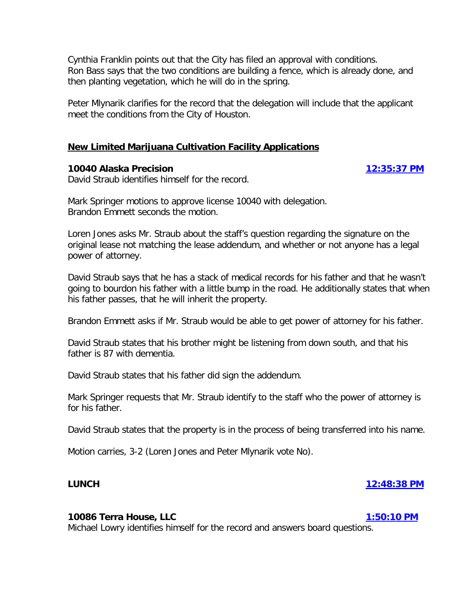Cynthia Franklin points out that the City has filed an approval with conditions. Ron Bass says that the two conditions are building a fence, which is already done, and then planting vegetation, which he will do in the spring.

Peter Mlynarik clarifies for the record that the delegation will include that the applicant meet the conditions from the City of Houston.

### **New Limited Marijuana Cultivation Facility Applications**

# **10040 Alaska Precision [12:35:37 PM](ftr://?location="ABC Board"?date="28-Oct-2016"?position="12:35:37"?Data="8a069941")**

David Straub identifies himself for the record.

Mark Springer motions to approve license 10040 with delegation. Brandon Emmett seconds the motion.

Loren Jones asks Mr. Straub about the staff's question regarding the signature on the original lease not matching the lease addendum, and whether or not anyone has a legal power of attorney.

David Straub says that he has a stack of medical records for his father and that he wasn't going to bourdon his father with a little bump in the road. He additionally states that when his father passes, that he will inherit the property.

Brandon Emmett asks if Mr. Straub would be able to get power of attorney for his father.

David Straub states that his brother might be listening from down south, and that his father is 87 with dementia.

David Straub states that his father did sign the addendum.

Mark Springer requests that Mr. Straub identify to the staff who the power of attorney is for his father.

David Straub states that the property is in the process of being transferred into his name.

Motion carries, 3-2 (Loren Jones and Peter Mlynarik vote No).

# **LUNCH [12:48:38 PM](ftr://?location="ABC Board"?date="28-Oct-2016"?position="12:48:38"?Data="5303eb28")**

### **10086 Terra House, LLC [1:50:10 PM](ftr://?location="ABC Board"?date="28-Oct-2016"?position="13:50:10"?Data="fd65ffc6")**

Michael Lowry identifies himself for the record and answers board questions.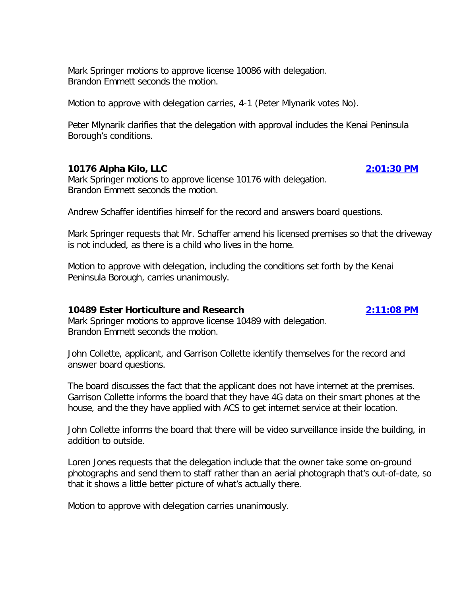Mark Springer motions to approve license 10086 with delegation. Brandon Emmett seconds the motion.

Motion to approve with delegation carries, 4-1 (Peter Mlynarik votes No).

Peter Mlynarik clarifies that the delegation with approval includes the Kenai Peninsula Borough's conditions.

#### **10176 Alpha Kilo, LLC [2:01:30 PM](ftr://?location="ABC Board"?date="28-Oct-2016"?position="14:01:30"?Data="3a35ba96")**

Mark Springer motions to approve license 10176 with delegation. Brandon Emmett seconds the motion.

Andrew Schaffer identifies himself for the record and answers board questions.

Mark Springer requests that Mr. Schaffer amend his licensed premises so that the driveway is not included, as there is a child who lives in the home.

Motion to approve with delegation, including the conditions set forth by the Kenai Peninsula Borough, carries unanimously.

#### **10489 Ester Horticulture and Research [2:11:08 PM](ftr://?location="ABC Board"?date="28-Oct-2016"?position="14:11:08"?Data="e2b0acb8")**

Mark Springer motions to approve license 10489 with delegation. Brandon Emmett seconds the motion.

John Collette, applicant, and Garrison Collette identify themselves for the record and answer board questions.

The board discusses the fact that the applicant does not have internet at the premises. Garrison Collette informs the board that they have 4G data on their smart phones at the house, and the they have applied with ACS to get internet service at their location.

John Collette informs the board that there will be video surveillance inside the building, in addition to outside.

Loren Jones requests that the delegation include that the owner take some on-ground photographs and send them to staff rather than an aerial photograph that's out-of-date, so that it shows a little better picture of what's actually there.

Motion to approve with delegation carries unanimously.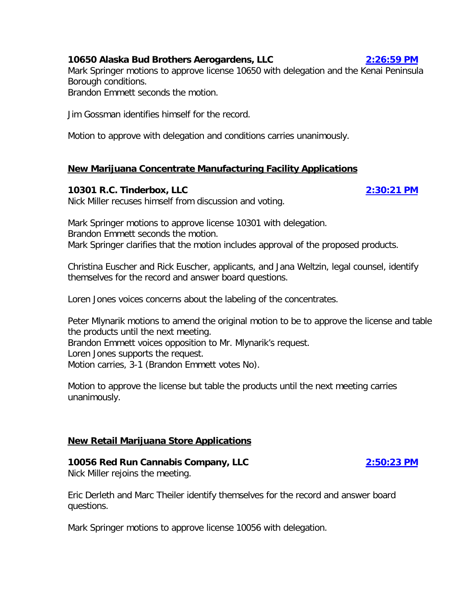# **10650 Alaska Bud Brothers Aerogardens, LLC [2:26:59 PM](ftr://?location="ABC Board"?date="28-Oct-2016"?position="14:26:59"?Data="9f8393e7")**

Mark Springer motions to approve license 10650 with delegation and the Kenai Peninsula Borough conditions.

Brandon Emmett seconds the motion.

Jim Gossman identifies himself for the record.

Motion to approve with delegation and conditions carries unanimously.

# **New Marijuana Concentrate Manufacturing Facility Applications**

# **10301 R.C. Tinderbox, LLC [2:30:21 PM](ftr://?location="ABC Board"?date="28-Oct-2016"?position="14:30:21"?Data="d189b798")**

Nick Miller recuses himself from discussion and voting.

Mark Springer motions to approve license 10301 with delegation. Brandon Emmett seconds the motion. Mark Springer clarifies that the motion includes approval of the proposed products.

Christina Euscher and Rick Euscher, applicants, and Jana Weltzin, legal counsel, identify themselves for the record and answer board questions.

Loren Jones voices concerns about the labeling of the concentrates.

Peter Mlynarik motions to amend the original motion to be to approve the license and table the products until the next meeting. Brandon Emmett voices opposition to Mr. Mlynarik's request.

Loren Jones supports the request.

Motion carries, 3-1 (Brandon Emmett votes No).

Motion to approve the license but table the products until the next meeting carries unanimously.

# **New Retail Marijuana Store Applications**

# **10056 Red Run Cannabis Company, LLC [2:50:23 PM](ftr://?location="ABC Board"?date="28-Oct-2016"?position="14:50:23"?Data="94bddaf3")**

Nick Miller rejoins the meeting.

Eric Derleth and Marc Theiler identify themselves for the record and answer board questions.

Mark Springer motions to approve license 10056 with delegation.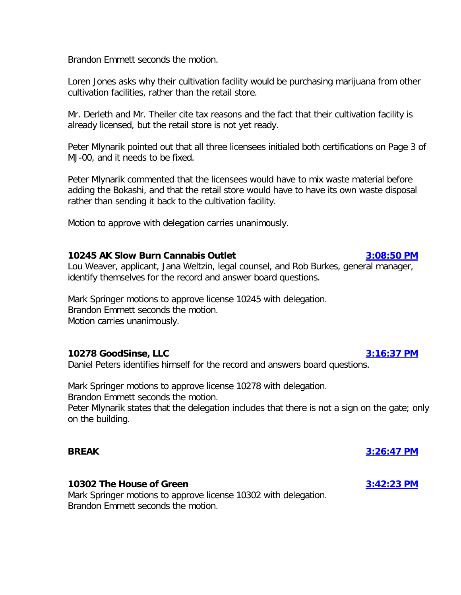Brandon Emmett seconds the motion.

Loren Jones asks why their cultivation facility would be purchasing marijuana from other cultivation facilities, rather than the retail store.

Mr. Derleth and Mr. Theiler cite tax reasons and the fact that their cultivation facility is already licensed, but the retail store is not yet ready.

Peter Mlynarik pointed out that all three licensees initialed both certifications on Page 3 of MJ-00, and it needs to be fixed.

Peter Mlynarik commented that the licensees would have to mix waste material before adding the Bokashi, and that the retail store would have to have its own waste disposal rather than sending it back to the cultivation facility.

Motion to approve with delegation carries unanimously.

#### **10245 AK Slow Burn Cannabis Outlet [3:08:50 PM](ftr://?location="ABC Board"?date="28-Oct-2016"?position="15:08:50"?Data="be11e3d0")**

Lou Weaver, applicant, Jana Weltzin, legal counsel, and Rob Burkes, general manager, identify themselves for the record and answer board questions.

Mark Springer motions to approve license 10245 with delegation. Brandon Emmett seconds the motion. Motion carries unanimously.

### **10278 GoodSinse, LLC [3:16:37 PM](ftr://?location="ABC Board"?date="28-Oct-2016"?position="15:16:37"?Data="70f344a8")**

Daniel Peters identifies himself for the record and answers board questions.

Mark Springer motions to approve license 10278 with delegation. Brandon Emmett seconds the motion.

Peter Mlynarik states that the delegation includes that there is not a sign on the gate; only on the building.

#### **10302 The House of Green [3:42:23 PM](ftr://?location="ABC Board"?date="28-Oct-2016"?position="15:42:23"?Data="a585d730")**

Mark Springer motions to approve license 10302 with delegation. Brandon Emmett seconds the motion.

**BREAK [3:26:47 PM](ftr://?location="ABC Board"?date="28-Oct-2016"?position="15:26:47"?Data="1a68a6e0")**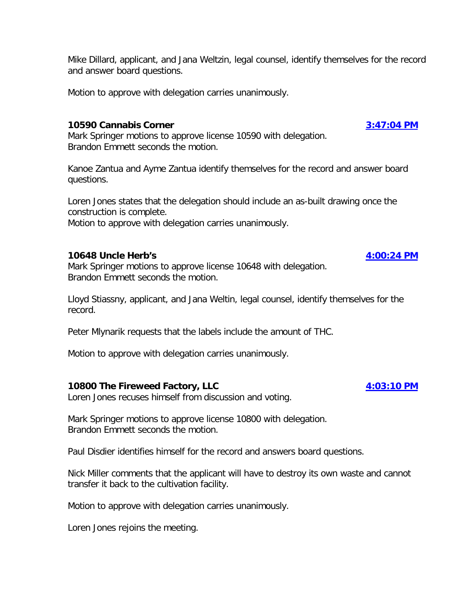Mike Dillard, applicant, and Jana Weltzin, legal counsel, identify themselves for the record and answer board questions.

Motion to approve with delegation carries unanimously.

#### **10590 Cannabis Corner [3:47:04 PM](ftr://?location="ABC Board"?date="28-Oct-2016"?position="15:47:04"?Data="93b385c6")**

Mark Springer motions to approve license 10590 with delegation. Brandon Emmett seconds the motion.

Kanoe Zantua and Ayme Zantua identify themselves for the record and answer board questions.

Loren Jones states that the delegation should include an as-built drawing once the construction is complete.

Motion to approve with delegation carries unanimously.

### **10648 Uncle Herb's [4:00:24 PM](ftr://?location="ABC Board"?date="28-Oct-2016"?position="16:00:24"?Data="1669b039")**

Mark Springer motions to approve license 10648 with delegation. Brandon Emmett seconds the motion.

Lloyd Stiassny, applicant, and Jana Weltin, legal counsel, identify themselves for the record.

Peter Mlynarik requests that the labels include the amount of THC.

Motion to approve with delegation carries unanimously.

### **10800 The Fireweed Factory, LLC [4:03:10 PM](ftr://?location="ABC Board"?date="28-Oct-2016"?position="16:03:10"?Data="f4a8eec3")**

Loren Jones recuses himself from discussion and voting.

Mark Springer motions to approve license 10800 with delegation. Brandon Emmett seconds the motion.

Paul Disdier identifies himself for the record and answers board questions.

Nick Miller comments that the applicant will have to destroy its own waste and cannot transfer it back to the cultivation facility.

Motion to approve with delegation carries unanimously.

Loren Jones rejoins the meeting.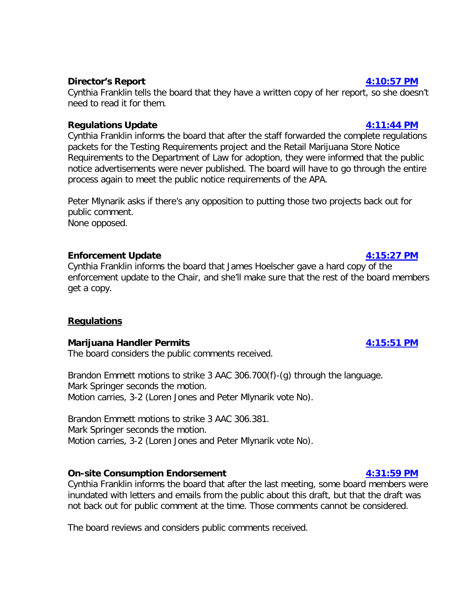# **Director's Report [4:10:57 PM](ftr://?location="ABC Board"?date="28-Oct-2016"?position="16:10:57"?Data="827c6300")**

Cynthia Franklin tells the board that they have a written copy of her report, so she doesn't need to read it for them.

### **Regulations Update [4:11:44 PM](ftr://?location="ABC Board"?date="28-Oct-2016"?position="16:11:44"?Data="b4577475")**

Cynthia Franklin informs the board that after the staff forwarded the complete regulations packets for the Testing Requirements project and the Retail Marijuana Store Notice Requirements to the Department of Law for adoption, they were informed that the public notice advertisements were never published. The board will have to go through the entire process again to meet the public notice requirements of the APA.

Peter Mlynarik asks if there's any opposition to putting those two projects back out for public comment.

None opposed.

# **Enforcement Update [4:15:27 PM](ftr://?location="ABC Board"?date="28-Oct-2016"?position="16:15:27"?Data="795098fc")**

Cynthia Franklin informs the board that James Hoelscher gave a hard copy of the enforcement update to the Chair, and she'll make sure that the rest of the board members get a copy.

# **Regulations**

### **Marijuana Handler Permits [4:15:51 PM](ftr://?location="ABC Board"?date="28-Oct-2016"?position="16:15:51"?Data="413ef798")**

The board considers the public comments received.

Brandon Emmett motions to strike 3 AAC 306.700(f)-(g) through the language. Mark Springer seconds the motion. Motion carries, 3-2 (Loren Jones and Peter Mlynarik vote No).

Brandon Emmett motions to strike 3 AAC 306.381. Mark Springer seconds the motion. Motion carries, 3-2 (Loren Jones and Peter Mlynarik vote No).

# **On-site Consumption Endorsement [4:31:59 PM](ftr://?location="ABC Board"?date="28-Oct-2016"?position="16:31:59"?Data="615ae192")**

Cynthia Franklin informs the board that after the last meeting, some board members were inundated with letters and emails from the public about this draft, but that the draft was not back out for public comment at the time. Those comments cannot be considered.

The board reviews and considers public comments received.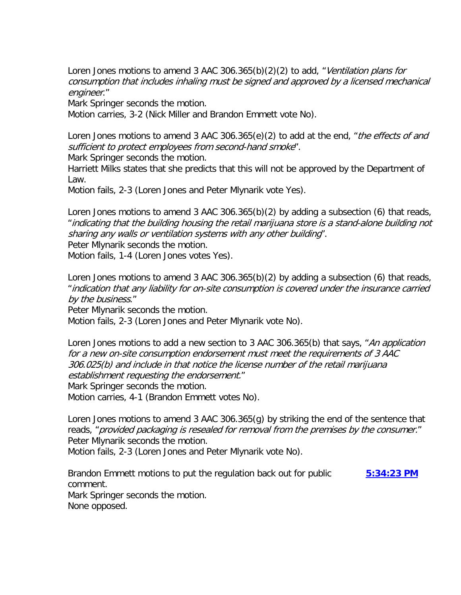Loren Jones motions to amend 3 AAC 306.365(b)(2)(2) to add, "Ventilation plans for consumption that includes inhaling must be signed and approved by a licensed mechanical engineer."

Mark Springer seconds the motion.

Motion carries, 3-2 (Nick Miller and Brandon Emmett vote No).

Loren Jones motions to amend 3 AAC 306.365(e)(2) to add at the end, "the effects of and sufficient to protect employees from second-hand smoke".

Mark Springer seconds the motion.

Harriett Milks states that she predicts that this will not be approved by the Department of Law.

Motion fails, 2-3 (Loren Jones and Peter Mlynarik vote Yes).

Loren Jones motions to amend 3 AAC 306.365(b)(2) by adding a subsection (6) that reads, "indicating that the building housing the retail marijuana store is a stand-alone building not sharing any walls or ventilation systems with any other building". Peter Mlynarik seconds the motion.

Motion fails, 1-4 (Loren Jones votes Yes).

Loren Jones motions to amend 3 AAC 306.365(b)(2) by adding a subsection (6) that reads, "indication that any liability for on-site consumption is covered under the insurance carried by the business."

Peter Mlynarik seconds the motion.

Motion fails, 2-3 (Loren Jones and Peter Mlynarik vote No).

Loren Jones motions to add a new section to 3 AAC 306.365(b) that says, "An application for a new on-site consumption endorsement must meet the requirements of 3 AAC 306.025(b) and include in that notice the license number of the retail marijuana establishment requesting the endorsement."

Mark Springer seconds the motion.

Motion carries, 4-1 (Brandon Emmett votes No).

Loren Jones motions to amend 3 AAC 306.365(g) by striking the end of the sentence that reads, "provided packaging is resealed for removal from the premises by the consumer." Peter Mlynarik seconds the motion.

Motion fails, 2-3 (Loren Jones and Peter Mlynarik vote No).

Brandon Emmett motions to put the regulation back out for public **[5:34:23 PM](ftr://?location="ABC Board"?date="28-Oct-2016"?position="17:34:23"?Data="5ba36b9b")** comment. Mark Springer seconds the motion. None opposed.